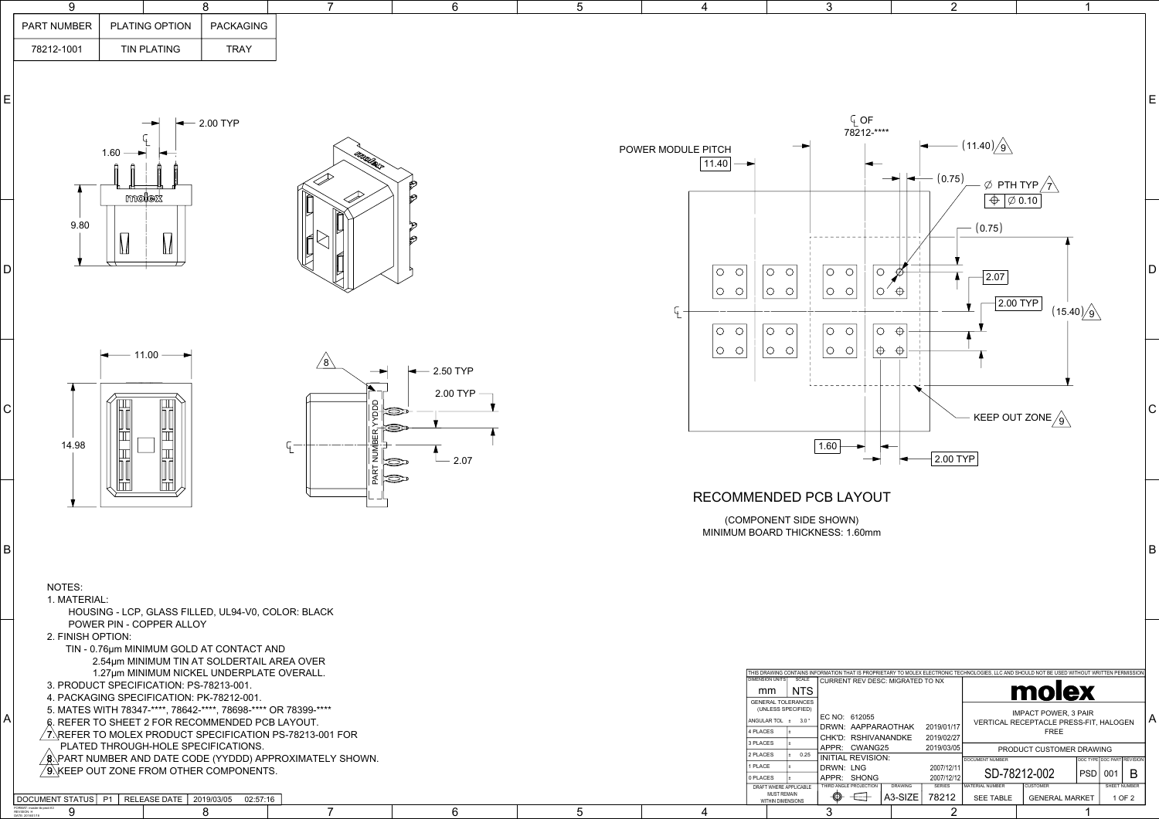|    | PART NUMBER<br>78212-1001                                                                 | PLATING OPTION<br><b>TIN PLATING</b>                                                                                                                                                                                                                                                                                                                                                                                                                                                                                                                                           | <b>PACKAGING</b><br><b>TRAY</b> |                                                                                                |                                                               |                 |                                                                                     |                                                                                                                                                                                                                                                                                                                                                                                                                                                                                                                                                                                                                                              |                                                                                                                                                                                              |                                                                                                                                                                                |                                                                       |
|----|-------------------------------------------------------------------------------------------|--------------------------------------------------------------------------------------------------------------------------------------------------------------------------------------------------------------------------------------------------------------------------------------------------------------------------------------------------------------------------------------------------------------------------------------------------------------------------------------------------------------------------------------------------------------------------------|---------------------------------|------------------------------------------------------------------------------------------------|---------------------------------------------------------------|-----------------|-------------------------------------------------------------------------------------|----------------------------------------------------------------------------------------------------------------------------------------------------------------------------------------------------------------------------------------------------------------------------------------------------------------------------------------------------------------------------------------------------------------------------------------------------------------------------------------------------------------------------------------------------------------------------------------------------------------------------------------------|----------------------------------------------------------------------------------------------------------------------------------------------------------------------------------------------|--------------------------------------------------------------------------------------------------------------------------------------------------------------------------------|-----------------------------------------------------------------------|
|    |                                                                                           |                                                                                                                                                                                                                                                                                                                                                                                                                                                                                                                                                                                |                                 |                                                                                                |                                                               |                 |                                                                                     |                                                                                                                                                                                                                                                                                                                                                                                                                                                                                                                                                                                                                                              |                                                                                                                                                                                              |                                                                                                                                                                                |                                                                       |
| E  |                                                                                           | —<br>$1.60$ $\rightarrow$                                                                                                                                                                                                                                                                                                                                                                                                                                                                                                                                                      | $-$ 2.00 TYP                    | malex                                                                                          |                                                               |                 | POWER MODULE PITCH<br>$11.40$ $\rightarrow$                                         | $Q$ OF<br>78212-****                                                                                                                                                                                                                                                                                                                                                                                                                                                                                                                                                                                                                         | $-$ (11.40) $\sqrt{9}$<br>$- (0.75)$<br>$\blacktriangleright$ $\blacktriangleright$                                                                                                          | $\emptyset$ PTH TYP $\bigwedge$                                                                                                                                                |                                                                       |
| Dİ | 9.80                                                                                      | molex<br>Π                                                                                                                                                                                                                                                                                                                                                                                                                                                                                                                                                                     |                                 | IĦ                                                                                             | ⊵                                                             |                 | $\circ$<br>$\circ$<br>$\circ$<br>$\bigcirc$<br>$\circ$<br>$\circ$                   | $\circ$<br>$\circ$<br>$\circ$<br>l O<br>$\circ$<br> O O <br>$\bigcirc$<br>$\circ$<br>IО<br> o o <br>$\circ$<br> O <br>$\circ$                                                                                                                                                                                                                                                                                                                                                                                                                                                                                                                | $- (0.75)$<br> 2.07 <br>$\bigoplus$<br>$\bigoplus$                                                                                                                                           | $\Theta$ $\phi$ 0.10<br>$2.00$ TYP<br>(15.40)/9                                                                                                                                |                                                                       |
| C  | 14.98                                                                                     | $\leftarrow$ 11.00 $\rightarrow$<br>mil                                                                                                                                                                                                                                                                                                                                                                                                                                                                                                                                        |                                 | $\sqrt{8}$<br>R YDDD<br>(D)<br>$\mathbb{R}^-$<br>È                                             | $-2.50$ TYP<br>2.00 TYP -<br>2.07<br>$\bigotimes$<br>$\infty$ |                 | O <br>$\circ$                                                                       | $\circ$ $\circ$<br>$\bigcirc$<br>$ \oplus $<br>$\circ$<br>1.60                                                                                                                                                                                                                                                                                                                                                                                                                                                                                                                                                                               | $\bigoplus$<br>2.00 TYP                                                                                                                                                                      | KEEP OUT ZONE $\sqrt{9}$                                                                                                                                                       |                                                                       |
| B  | NOTES:<br>1. MATERIAL:                                                                    | HOUSING - LCP, GLASS FILLED, UL94-V0, COLOR: BLACK                                                                                                                                                                                                                                                                                                                                                                                                                                                                                                                             |                                 |                                                                                                |                                                               |                 |                                                                                     | RECOMMENDED PCB LAYOUT<br>(COMPONENT SIDE SHOWN)<br>MINIMUM BOARD THICKNESS: 1.60mm                                                                                                                                                                                                                                                                                                                                                                                                                                                                                                                                                          |                                                                                                                                                                                              |                                                                                                                                                                                |                                                                       |
| A  | 2. FINISH OPTION:<br>DOCUMENT STATUS   P1<br>FORMAT: master-tb-prod-A<br>REVISION: H<br>9 | POWER PIN - COPPER ALLOY<br>TIN - 0.76µm MINIMUM GOLD AT CONTACT AND<br>2.54µm MINIMUM TIN AT SOLDERTAIL AREA OVER<br>1.27um MINIMUM NICKEL UNDERPLATE OVERALL.<br>3. PRODUCT SPECIFICATION: PS-78213-001.<br>4. PACKAGING SPECIFICATION: PK-78212-001.<br>5. MATES WITH 78347-****, 78642-****, 78698-**** OR 78399-****<br>6. REFER TO SHEET 2 FOR RECOMMENDED PCB LAYOUT.<br>$\sqrt{7}$ . REFER TO MOLEX PRODUCT SPECIFICATION PS-78213-001 FOR<br>PLATED THROUGH-HOLE SPECIFICATIONS.<br>$/$ 9.\KEEP OUT ZONE FROM OTHER COMPONENTS.<br>RELEASE DATE   2019/03/05 02:57:16 | 8                               | $\sqrt{\mathsf{g}}$ . PART NUMBER AND DATE CODE (YYDDD) APPROXIMATELY SHOWN.<br>$\overline{7}$ | 6                                                             | $5\overline{)}$ | 4 PLACES<br>3 PLACES<br>2 PLACES<br>1 PLACE<br>0 PLACES<br>$\boldsymbol{\varDelta}$ | THIS DRAWING CONTAINS INFORMATION THAT IS PROPRIETARY TO MOLEX ELECTRONIC TECHNOLOGIES. LLC AND SHOULD NOT BE USED WITHOUT WRITTEN PERMISSIO<br><b>DIMENSION UNITS</b><br><b>SCALE</b><br>CURRENT REV DESC: MIGRATED TO NX<br>$\mid$ NTS<br>mm<br><b>GENERAL TOLERANCES</b><br>(UNLESS SPECIFIED)<br>EC NO: 612055<br>ANGULAR TOL $\pm$ 3.0 $^{\circ}$<br>DRWN: AAPPARAOTHAK<br>CHK'D: RSHIVANANDKE<br>APPR: CWANG25<br>0.25<br><b>INITIAL REVISION:</b><br>DRWN: LNG<br>APPR: SHONG<br>THIRD ANGLE PROJECTION<br>DRAFT WHERE APPLICABLE<br><b>MUST REMAIN</b><br>$\overline{\mathbb{H}}$<br>$\bigcirc$<br>WITHIN DIMENSIONS<br>$\mathbf{3}$ | 2019/01/17<br>2019/02/27<br>2019/03/05<br>DOCUMENT NUMBER<br>2007/12/11<br>2007/12/12<br><b>DRAWING</b><br><b>SERIES</b><br>MATERIAL NUMBER<br>$ A3-SIZE $<br>78212<br><b>SEE TABLE</b><br>2 | molex<br><b>IMPACT POWER, 3 PAIR</b><br>VERTICAL RECEPTACLE PRESS-FIT, HALOGEN<br><b>FREE</b><br>PRODUCT CUSTOMER DRAWING<br>SD-78212-002<br>CUSTOMER<br><b>GENERAL MARKET</b> | DOC TYPE DOC PART REVISION<br> PSD  001   B<br>SHEET NUMBER<br>1 OF 2 |